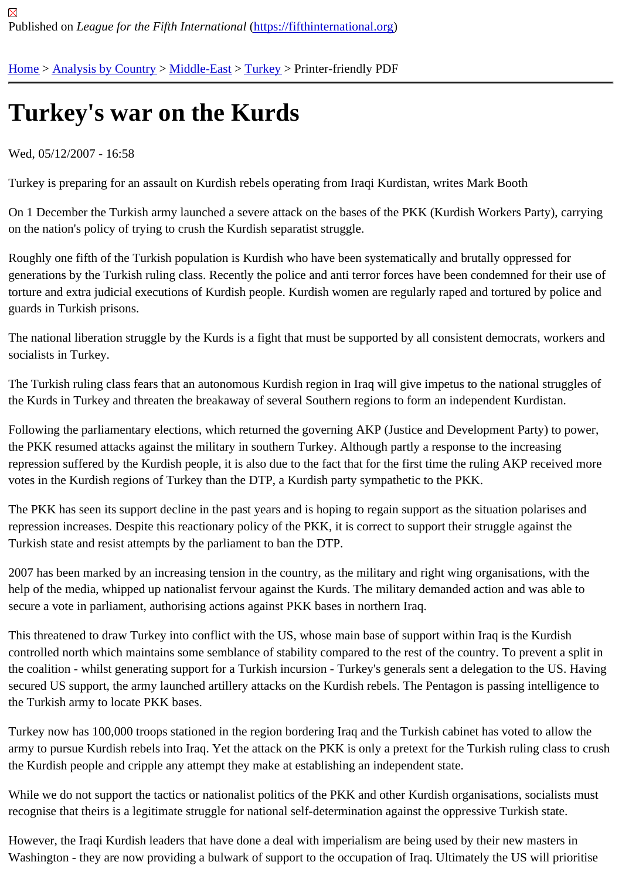## [Tur](https://fifthinternational.org/)[key](https://fifthinternational.org/category/1)'[s war](https://fifthinternational.org/category/1) [on the](https://fifthinternational.org/category/1/178) [Kurd](https://fifthinternational.org/category/1/178/174)s

Wed, 05/12/2007 - 16:58

Turkey is preparing for an assault on Kurdish rebels operating from Iraqi Kurdistan, writes Mark Booth

On 1 December the Turkish army launched a severe attack on the bases of the PKK (Kurdish Workers Party), cari on the nation's policy of trying to crush the Kurdish separatist struggle.

Roughly one fifth of the Turkish population is Kurdish who have been systematically and brutally oppressed for generations by the Turkish ruling class. Recently the police and anti terror forces have been condemned for their u torture and extra judicial executions of Kurdish people. Kurdish women are regularly raped and tortured by police a guards in Turkish prisons.

The national liberation struggle by the Kurds is a fight that must be supported by all consistent democrats, workers socialists in Turkey.

The Turkish ruling class fears that an autonomous Kurdish region in Iraq will give impetus to the national struggles the Kurds in Turkey and threaten the breakaway of several Southern regions to form an independent Kurdistan.

Following the parliamentary elections, which returned the governing AKP (Justice and Development Party) to powe the PKK resumed attacks against the military in southern Turkey. Although partly a response to the increasing repression suffered by the Kurdish people, it is also due to the fact that for the first time the ruling AKP received m votes in the Kurdish regions of Turkey than the DTP, a Kurdish party sympathetic to the PKK.

The PKK has seen its support decline in the past years and is hoping to regain support as the situation polarises a repression increases. Despite this reactionary policy of the PKK, it is correct to support their struggle against the Turkish state and resist attempts by the parliament to ban the DTP.

2007 has been marked by an increasing tension in the country, as the military and right wing organisations, with th help of the media, whipped up nationalist fervour against the Kurds. The military demanded action and was able to secure a vote in parliament, authorising actions against PKK bases in northern Iraq.

This threatened to draw Turkey into conflict with the US, whose main base of support within Iraq is the Kurdish controlled north which maintains some semblance of stability compared to the rest of the country. To prevent a spl the coalition - whilst generating support for a Turkish incursion - Turkey's generals sent a delegation to the US. Ha secured US support, the army launched artillery attacks on the Kurdish rebels. The Pentagon is passing intelligend the Turkish army to locate PKK bases.

Turkey now has 100,000 troops stationed in the region bordering Iraq and the Turkish cabinet has voted to allow tl army to pursue Kurdish rebels into Irag. Yet the attack on the PKK is only a pretext for the Turkish ruling class to c the Kurdish people and cripple any attempt they make at establishing an independent state.

While we do not support the tactics or nationalist politics of the PKK and other Kurdish organisations, socialists mu recognise that theirs is a legitimate struggle for national self-determination against the oppressive Turkish state.

However, the Iraqi Kurdish leaders that have done a deal with imperialism are being used by their new masters in Washington - they are now providing a bulwark of support to the occupation of Iraq. Ultimately the US will prioritise